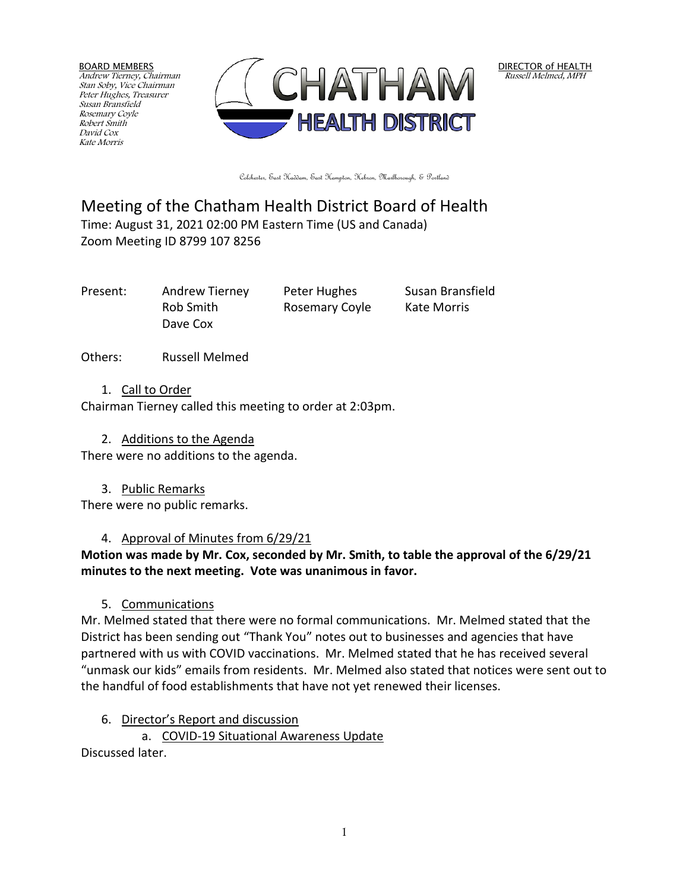BOARD MEMBERS Andrew Tierney, Chairman Stan Soby, Vice Chairman Peter Hughes, Treasurer Susan Bransfield Rosemary Coyle Robert Smith David Cox Kate Morris



DIRECTOR of HEALTH Russell Melmed, MPH

Colchester, East Haddam, East Hampton, Hebron, Marlborough, & Portland

# Meeting of the Chatham Health District Board of Health Time: August 31, 2021 02:00 PM Eastern Time (US and Canada) Zoom Meeting ID 8799 107 8256

Dave Cox

Present: Andrew Tierney Peter Hughes Susan Bransfield Rob Smith Rosemary Coyle Kate Morris

Others: Russell Melmed

### 1. Call to Order

Chairman Tierney called this meeting to order at 2:03pm.

### 2. Additions to the Agenda

There were no additions to the agenda.

3. Public Remarks

There were no public remarks.

# 4. Approval of Minutes from 6/29/21

**Motion was made by Mr. Cox, seconded by Mr. Smith, to table the approval of the 6/29/21 minutes to the next meeting. Vote was unanimous in favor.**

## 5. Communications

Mr. Melmed stated that there were no formal communications. Mr. Melmed stated that the District has been sending out "Thank You" notes out to businesses and agencies that have partnered with us with COVID vaccinations. Mr. Melmed stated that he has received several "unmask our kids" emails from residents. Mr. Melmed also stated that notices were sent out to the handful of food establishments that have not yet renewed their licenses.

## 6. Director's Report and discussion

a. COVID-19 Situational Awareness Update

Discussed later.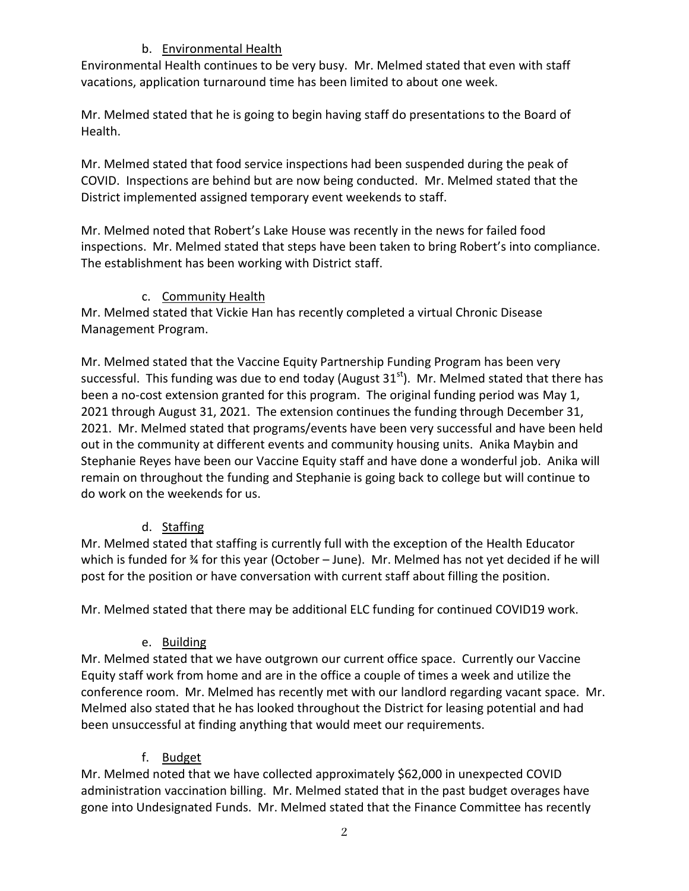## b. Environmental Health

Environmental Health continues to be very busy. Mr. Melmed stated that even with staff vacations, application turnaround time has been limited to about one week.

Mr. Melmed stated that he is going to begin having staff do presentations to the Board of Health.

Mr. Melmed stated that food service inspections had been suspended during the peak of COVID. Inspections are behind but are now being conducted. Mr. Melmed stated that the District implemented assigned temporary event weekends to staff.

Mr. Melmed noted that Robert's Lake House was recently in the news for failed food inspections. Mr. Melmed stated that steps have been taken to bring Robert's into compliance. The establishment has been working with District staff.

## c. Community Health

Mr. Melmed stated that Vickie Han has recently completed a virtual Chronic Disease Management Program.

Mr. Melmed stated that the Vaccine Equity Partnership Funding Program has been very successful. This funding was due to end today (August  $31<sup>st</sup>$ ). Mr. Melmed stated that there has been a no-cost extension granted for this program. The original funding period was May 1, 2021 through August 31, 2021. The extension continues the funding through December 31, 2021. Mr. Melmed stated that programs/events have been very successful and have been held out in the community at different events and community housing units. Anika Maybin and Stephanie Reyes have been our Vaccine Equity staff and have done a wonderful job. Anika will remain on throughout the funding and Stephanie is going back to college but will continue to do work on the weekends for us.

# d. Staffing

Mr. Melmed stated that staffing is currently full with the exception of the Health Educator which is funded for ¾ for this year (October – June). Mr. Melmed has not yet decided if he will post for the position or have conversation with current staff about filling the position.

Mr. Melmed stated that there may be additional ELC funding for continued COVID19 work.

# e. Building

Mr. Melmed stated that we have outgrown our current office space. Currently our Vaccine Equity staff work from home and are in the office a couple of times a week and utilize the conference room. Mr. Melmed has recently met with our landlord regarding vacant space. Mr. Melmed also stated that he has looked throughout the District for leasing potential and had been unsuccessful at finding anything that would meet our requirements.

# f. Budget

Mr. Melmed noted that we have collected approximately \$62,000 in unexpected COVID administration vaccination billing. Mr. Melmed stated that in the past budget overages have gone into Undesignated Funds. Mr. Melmed stated that the Finance Committee has recently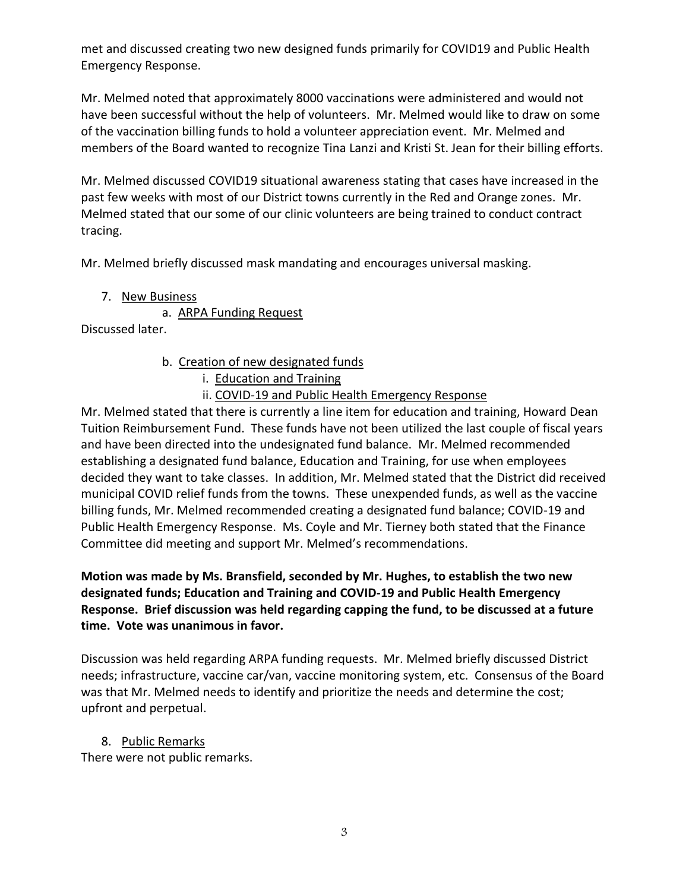met and discussed creating two new designed funds primarily for COVID19 and Public Health Emergency Response.

Mr. Melmed noted that approximately 8000 vaccinations were administered and would not have been successful without the help of volunteers. Mr. Melmed would like to draw on some of the vaccination billing funds to hold a volunteer appreciation event. Mr. Melmed and members of the Board wanted to recognize Tina Lanzi and Kristi St. Jean for their billing efforts.

Mr. Melmed discussed COVID19 situational awareness stating that cases have increased in the past few weeks with most of our District towns currently in the Red and Orange zones. Mr. Melmed stated that our some of our clinic volunteers are being trained to conduct contract tracing.

Mr. Melmed briefly discussed mask mandating and encourages universal masking.

7. New Business

a. ARPA Funding Request

Discussed later.

- b. Creation of new designated funds
	- i. Education and Training
	- ii. COVID-19 and Public Health Emergency Response

Mr. Melmed stated that there is currently a line item for education and training, Howard Dean Tuition Reimbursement Fund. These funds have not been utilized the last couple of fiscal years and have been directed into the undesignated fund balance. Mr. Melmed recommended establishing a designated fund balance, Education and Training, for use when employees decided they want to take classes. In addition, Mr. Melmed stated that the District did received municipal COVID relief funds from the towns. These unexpended funds, as well as the vaccine billing funds, Mr. Melmed recommended creating a designated fund balance; COVID-19 and Public Health Emergency Response. Ms. Coyle and Mr. Tierney both stated that the Finance Committee did meeting and support Mr. Melmed's recommendations.

### **Motion was made by Ms. Bransfield, seconded by Mr. Hughes, to establish the two new designated funds; Education and Training and COVID-19 and Public Health Emergency Response. Brief discussion was held regarding capping the fund, to be discussed at a future time. Vote was unanimous in favor.**

Discussion was held regarding ARPA funding requests. Mr. Melmed briefly discussed District needs; infrastructure, vaccine car/van, vaccine monitoring system, etc. Consensus of the Board was that Mr. Melmed needs to identify and prioritize the needs and determine the cost; upfront and perpetual.

8. Public Remarks There were not public remarks.